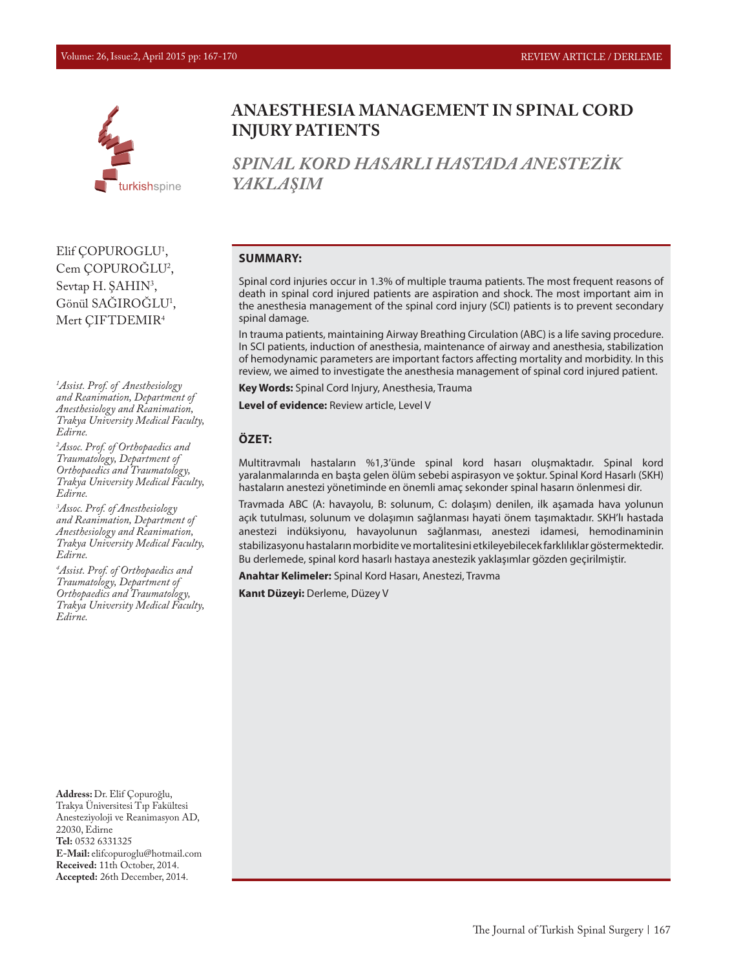

**ANAESTHESIA MANAGEMENT IN SPINAL CORD INJURY PATIENTS**

*SPINAL KORD HASARLI HASTADA ANESTEZİK YAKLAŞIM*

#### **SUMMARY:**

Spinal cord injuries occur in 1.3% of multiple trauma patients. The most frequent reasons of death in spinal cord injured patients are aspiration and shock. The most important aim in the anesthesia management of the spinal cord injury (SCI) patients is to prevent secondary spinal damage.

In trauma patients, maintaining Airway Breathing Circulation (ABC) is a life saving procedure. In SCI patients, induction of anesthesia, maintenance of airway and anesthesia, stabilization of hemodynamic parameters are important factors affecting mortality and morbidity. In this review, we aimed to investigate the anesthesia management of spinal cord injured patient.

**Key Words:** Spinal Cord Injury, Anesthesia, Trauma

**Level of evidence:** Review article, Level V

#### **ÖZET:**

Multitravmalı hastaların %1,3'ünde spinal kord hasarı oluşmaktadır. Spinal kord yaralanmalarında en başta gelen ölüm sebebi aspirasyon ve şoktur. Spinal Kord Hasarlı (SKH) hastaların anestezi yönetiminde en önemli amaç sekonder spinal hasarın önlenmesi dir.

Travmada ABC (A: havayolu, B: solunum, C: dolaşım) denilen, ilk aşamada hava yolunun açık tutulması, solunum ve dolaşımın sağlanması hayati önem taşımaktadır. SKH'lı hastada anestezi indüksiyonu, havayolunun sağlanması, anestezi idamesi, hemodinaminin stabilizasyonu hastaların morbidite ve mortalitesini etkileyebilecek farklılıklar göstermektedir. Bu derlemede, spinal kord hasarlı hastaya anestezik yaklaşımlar gözden geçirilmiştir.

**Anahtar Kelimeler:** Spinal Kord Hasarı, Anestezi, Travma

**Kanıt Düzeyi:** Derleme, Düzey V

Elif ÇOPUROGLU1 , Cem ÇOPUROGLU<sup>2</sup>, Sevtap H. ŞAHIN<sup>3</sup>, Gönül SAGIROGLU<sup>1</sup>, Mert ÇIFTDEMIR4

*1 Assist. Prof. of Anesthesiology and Reanimation, Department of Anesthesiology and Reanimation, Trakya University Medical Faculty, Edirne.*

*2 Assoc. Prof. of Orthopaedics and Traumatology, Department of Orthopaedics and Traumatology, Trakya University Medical Faculty, Edirne.*

*3 Assoc. Prof. of Anesthesiology and Reanimation, Department of Anesthesiology and Reanimation, Trakya University Medical Faculty, Edirne.*

*4 Assist. Prof. of Orthopaedics and Traumatology, Department of Orthopaedics and Traumatology, Trakya University Medical Faculty, Edirne.*

**Address:** Dr. Elif Çopuroğlu, Trakya Üniversitesi Tıp Fakültesi Anesteziyoloji ve Reanimasyon AD, 22030, Edirne **Tel:** 0532 6331325 **E-Mail:** elifcopuroglu@hotmail.com **Received:** 11th October, 2014. **Accepted:** 26th December, 2014.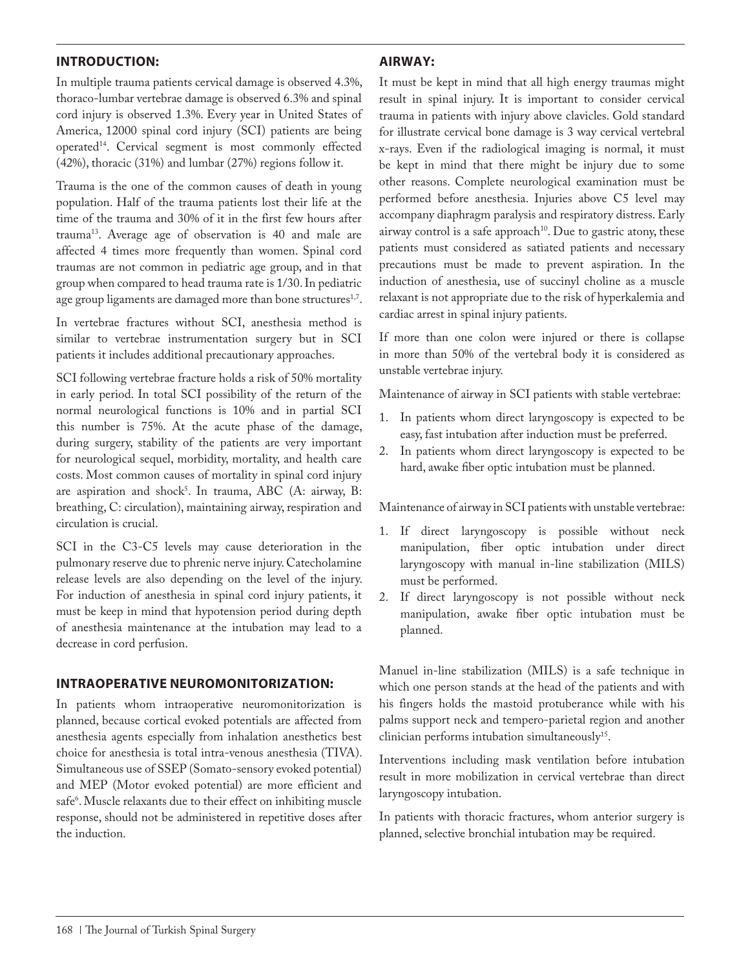# **INTRODUCTION:**

In multiple trauma patients cervical damage is observed 4.3%, thoraco-lumbar vertebrae damage is observed 6.3% and spinal cord injury is observed 1.3%. Every year in United States of America, 12000 spinal cord injury (SCI) patients are being operated14. Cervical segment is most commonly effected (42%), thoracic (31%) and lumbar (27%) regions follow it.

Trauma is the one of the common causes of death in young population. Half of the trauma patients lost their life at the time of the trauma and 30% of it in the first few hours after trauma13. Average age of observation is 40 and male are affected 4 times more frequently than women. Spinal cord traumas are not common in pediatric age group, and in that group when compared to head trauma rate is 1/30. In pediatric age group ligaments are damaged more than bone structures<sup>1,7</sup>.

In vertebrae fractures without SCI, anesthesia method is similar to vertebrae instrumentation surgery but in SCI patients it includes additional precautionary approaches.

SCI following vertebrae fracture holds a risk of 50% mortality in early period. In total SCI possibility of the return of the normal neurological functions is 10% and in partial SCI this number is 75%. At the acute phase of the damage, during surgery, stability of the patients are very important for neurological sequel, morbidity, mortality, and health care costs. Most common causes of mortality in spinal cord injury are aspiration and shock<sup>3</sup>. In trauma, ABC (A: airway, B: breathing, C: circulation), maintaining airway, respiration and circulation is crucial.

SCI in the C3-C5 levels may cause deterioration in the pulmonary reserve due to phrenic nerve injury. Catecholamine release levels are also depending on the level of the injury. For induction of anesthesia in spinal cord injury patients, it must be keep in mind that hypotension period during depth of anesthesia maintenance at the intubation may lead to a decrease in cord perfusion.

### **INTRAOPERATIVE NEUROMONITORIZATION:**

In patients whom intraoperative neuromonitorization is planned, because cortical evoked potentials are affected from anesthesia agents especially from inhalation anesthetics best choice for anesthesia is total intra-venous anesthesia (TIVA). Simultaneous use of SSEP (Somato-sensory evoked potential) and MEP (Motor evoked potential) are more efficient and safe<sup>6</sup>. Muscle relaxants due to their effect on inhibiting muscle response, should not be administered in repetitive doses after the induction.

# **AIRWAY:**

It must be kept in mind that all high energy traumas might result in spinal injury. It is important to consider cervical trauma in patients with injury above clavicles. Gold standard for illustrate cervical bone damage is 3 way cervical vertebral x-rays. Even if the radiological imaging is normal, it must be kept in mind that there might be injury due to some other reasons. Complete neurological examination must be performed before anesthesia. Injuries above C5 level may accompany diaphragm paralysis and respiratory distress. Early airway control is a safe approach $10$ . Due to gastric atony, these patients must considered as satiated patients and necessary precautions must be made to prevent aspiration. In the induction of anesthesia, use of succinyl choline as a muscle relaxant is not appropriate due to the risk of hyperkalemia and cardiac arrest in spinal injury patients.

If more than one colon were injured or there is collapse in more than 50% of the vertebral body it is considered as unstable vertebrae injury.

Maintenance of airway in SCI patients with stable vertebrae:

- 1. In patients whom direct laryngoscopy is expected to be easy, fast intubation after induction must be preferred.
- 2. In patients whom direct laryngoscopy is expected to be hard, awake fiber optic intubation must be planned.

Maintenance of airway in SCI patients with unstable vertebrae:

- 1. If direct laryngoscopy is possible without neck manipulation, fiber optic intubation under direct laryngoscopy with manual in-line stabilization (MILS) must be performed.
- 2. If direct laryngoscopy is not possible without neck manipulation, awake fiber optic intubation must be planned.

Manuel in-line stabilization (MILS) is a safe technique in which one person stands at the head of the patients and with his fingers holds the mastoid protuberance while with his palms support neck and tempero-parietal region and another clinician performs intubation simultaneously15.

Interventions including mask ventilation before intubation result in more mobilization in cervical vertebrae than direct laryngoscopy intubation.

In patients with thoracic fractures, whom anterior surgery is planned, selective bronchial intubation may be required.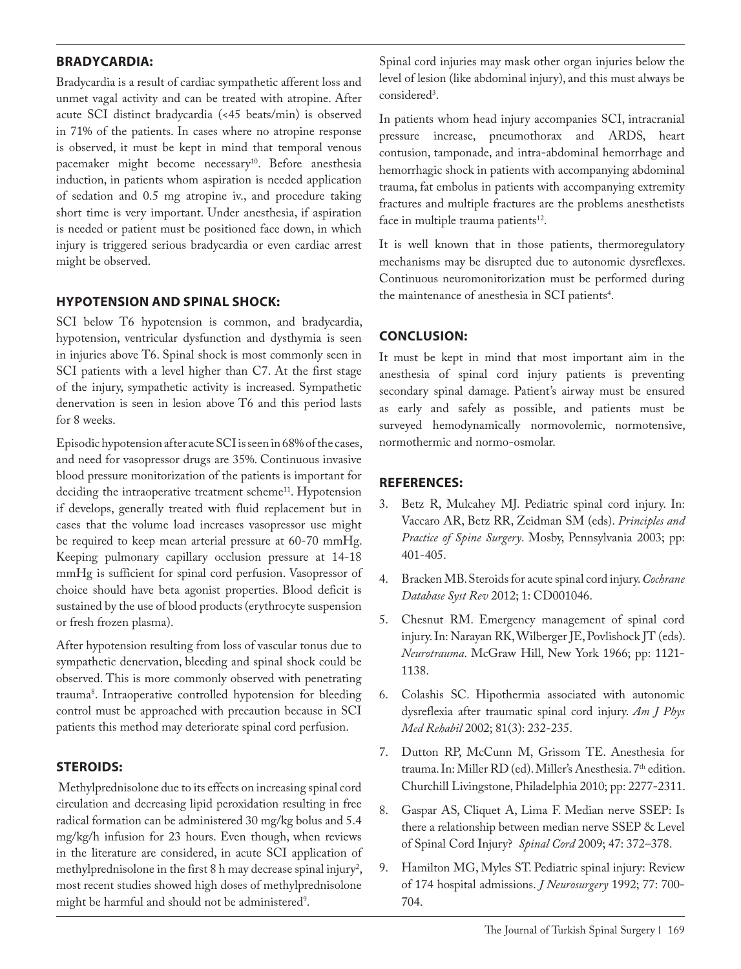# **BRADYCARDIA:**

Bradycardia is a result of cardiac sympathetic afferent loss and unmet vagal activity and can be treated with atropine. After acute SCI distinct bradycardia (<45 beats/min) is observed in 71% of the patients. In cases where no atropine response is observed, it must be kept in mind that temporal venous pacemaker might become necessary<sup>10</sup>. Before anesthesia induction, in patients whom aspiration is needed application of sedation and 0.5 mg atropine iv., and procedure taking short time is very important. Under anesthesia, if aspiration is needed or patient must be positioned face down, in which injury is triggered serious bradycardia or even cardiac arrest might be observed.

## **HYPOTENSION AND SPINAL SHOCK:**

SCI below T6 hypotension is common, and bradycardia, hypotension, ventricular dysfunction and dysthymia is seen in injuries above T6. Spinal shock is most commonly seen in SCI patients with a level higher than C7. At the first stage of the injury, sympathetic activity is increased. Sympathetic denervation is seen in lesion above T6 and this period lasts for 8 weeks.

Episodic hypotension after acute SCI is seen in 68% of the cases, and need for vasopressor drugs are 35%. Continuous invasive blood pressure monitorization of the patients is important for deciding the intraoperative treatment scheme<sup>11</sup>. Hypotension if develops, generally treated with fluid replacement but in cases that the volume load increases vasopressor use might be required to keep mean arterial pressure at 60-70 mmHg. Keeping pulmonary capillary occlusion pressure at 14-18 mmHg is sufficient for spinal cord perfusion. Vasopressor of choice should have beta agonist properties. Blood deficit is sustained by the use of blood products (erythrocyte suspension or fresh frozen plasma).

After hypotension resulting from loss of vascular tonus due to sympathetic denervation, bleeding and spinal shock could be observed. This is more commonly observed with penetrating trauma8 . Intraoperative controlled hypotension for bleeding control must be approached with precaution because in SCI patients this method may deteriorate spinal cord perfusion.

### **STEROIDS:**

 Methylprednisolone due to its effects on increasing spinal cord circulation and decreasing lipid peroxidation resulting in free radical formation can be administered 30 mg/kg bolus and 5.4 mg/kg/h infusion for 23 hours. Even though, when reviews in the literature are considered, in acute SCI application of methylprednisolone in the first 8 h may decrease spinal injury<sup>2</sup>, most recent studies showed high doses of methylprednisolone might be harmful and should not be administered<sup>9</sup>.

Spinal cord injuries may mask other organ injuries below the level of lesion (like abdominal injury), and this must always be considered<sup>3</sup>.

In patients whom head injury accompanies SCI, intracranial pressure increase, pneumothorax and ARDS, heart contusion, tamponade, and intra-abdominal hemorrhage and hemorrhagic shock in patients with accompanying abdominal trauma, fat embolus in patients with accompanying extremity fractures and multiple fractures are the problems anesthetists face in multiple trauma patients<sup>12</sup>.

It is well known that in those patients, thermoregulatory mechanisms may be disrupted due to autonomic dysreflexes. Continuous neuromonitorization must be performed during the maintenance of anesthesia in SCI patients<sup>4</sup>.

## **CONCLUSION:**

It must be kept in mind that most important aim in the anesthesia of spinal cord injury patients is preventing secondary spinal damage. Patient's airway must be ensured as early and safely as possible, and patients must be surveyed hemodynamically normovolemic, normotensive, normothermic and normo-osmolar.

### **REFERENCES:**

- 3. Betz R, Mulcahey MJ. Pediatric spinal cord injury. In: Vaccaro AR, Betz RR, Zeidman SM (eds). *Principles and Practice of Spine Surgery*. Mosby, Pennsylvania 2003; pp: 401-405.
- 4. Bracken MB. Steroids for acute spinal cord injury. *Cochrane Database Syst Rev* 2012; 1: CD001046.
- 5. Chesnut RM. Emergency management of spinal cord injury. In: Narayan RK, Wilberger JE, Povlishock JT (eds). *Neurotrauma*. McGraw Hill, New York 1966; pp: 1121- 1138.
- 6. Colashis SC. Hipothermia associated with autonomic dysreflexia after traumatic spinal cord injury. *Am J Phys Med Rehabil* 2002; 81(3): 232-235.
- 7. Dutton RP, McCunn M, Grissom TE. Anesthesia for trauma. In: Miller RD (ed). Miller's Anesthesia. 7<sup>th</sup> edition. Churchill Livingstone, Philadelphia 2010; pp: 2277-2311.
- 8. Gaspar AS, Cliquet A, Lima F. Median nerve SSEP: Is there a relationship between median nerve SSEP & Level of Spinal Cord Injury? *Spinal Cord* 2009; 47: 372–378.
- 9. Hamilton MG, Myles ST. Pediatric spinal injury: Review of 174 hospital admissions. *J Neurosurgery* 1992; 77: 700- 704.